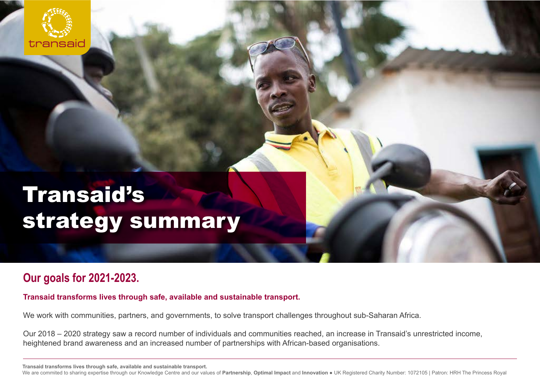

# Transaid's strategy summary

## **Our goals for 2021-2023.**

**Transaid transforms lives through safe, available and sustainable transport.**

We work with communities, partners, and governments, to solve transport challenges throughout sub-Saharan Africa.

Our 2018 – 2020 strategy saw a record number of individuals and communities reached, an increase in Transaid's unrestricted income, heightened brand awareness and an increased number of partnerships with African-based organisations.

**Transaid transforms lives through safe, available and sustainable transport.**

We are commited to sharing expertise through our Knowledge Centre and our values of **Partnership**, **Optimal Impact** and **Innovation** ● UK Registered Charity Number: 1072105 | Patron: HRH The Princess Royal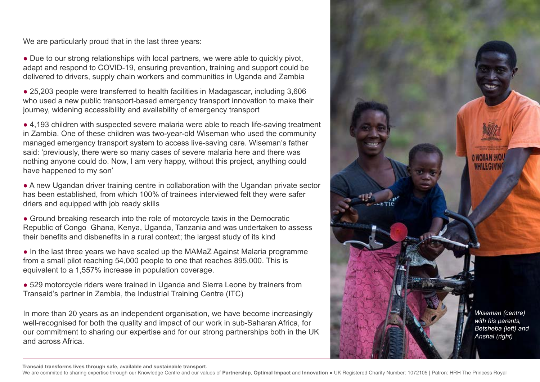We are particularly proud that in the last three years:

• Due to our strong relationships with local partners, we were able to quickly pivot, adapt and respond to COVID-19, ensuring prevention, training and support could be delivered to drivers, supply chain workers and communities in Uganda and Zambia

● 25,203 people were transferred to health facilities in Madagascar, including 3,606 who used a new public transport-based emergency transport innovation to make their journey, widening accessibility and availability of emergency transport

● 4,193 children with suspected severe malaria were able to reach life-saving treatment in Zambia. One of these children was two-year-old Wiseman who used the community managed emergency transport system to access live-saving care. Wiseman's father said: 'previously, there were so many cases of severe malaria here and there was nothing anyone could do. Now, I am very happy, without this project, anything could have happened to my son'

• A new Ugandan driver training centre in collaboration with the Ugandan private sector has been established, from which 100% of trainees interviewed felt they were safer driers and equipped with job ready skills

• Ground breaking research into the role of motorcycle taxis in the Democratic Republic of Congo Ghana, Kenya, Uganda, Tanzania and was undertaken to assess their benefits and disbenefits in a rural context; the largest study of its kind

• In the last three years we have scaled up the MAMaZ Against Malaria programme from a small pilot reaching 54,000 people to one that reaches 895,000. This is equivalent to a 1,557% increase in population coverage.

● 529 motorcycle riders were trained in Uganda and Sierra Leone by trainers from Transaid's partner in Zambia, the Industrial Training Centre (ITC)

In more than 20 years as an independent organisation, we have become increasingly well-recognised for both the quality and impact of our work in sub-Saharan Africa, for our commitment to sharing our expertise and for our strong partnerships both in the UK and across Africa.



**Transaid transforms lives through safe, available and sustainable transport.**

We are commited to sharing expertise through our Knowledge Centre and our values of **Partnership**, **Optimal Impact** and **Innovation** ● UK Registered Charity Number: 1072105 | Patron: HRH The Princess Royal